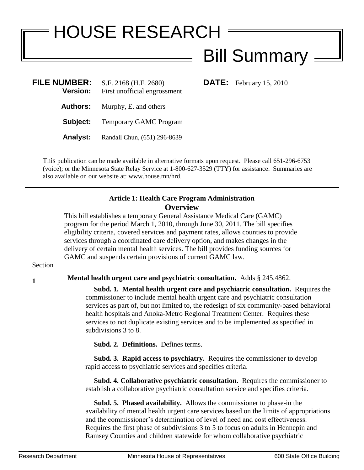# HOUSE RESEARCH

## Bill Summary

**DATE:** February 15, 2010

| <b>FILE NUMBER:</b><br><b>Version:</b> | S.F. 2168 (H.F. 2680)<br>First unofficial engrossment |
|----------------------------------------|-------------------------------------------------------|
| Authors:                               | Murphy, E. and others                                 |
| Subject:                               | <b>Temporary GAMC Program</b>                         |
| <b>Analyst:</b>                        | Randall Chun, (651) 296-8639                          |
|                                        |                                                       |

This publication can be made available in alternative formats upon request. Please call 651-296-6753 (voice); or the Minnesota State Relay Service at 1-800-627-3529 (TTY) for assistance. Summaries are also available on our website at: www.house.mn/hrd.

#### **Article 1: Health Care Program Administration Overview**

This bill establishes a temporary General Assistance Medical Care (GAMC) program for the period March 1, 2010, through June 30, 2011. The bill specifies eligibility criteria, covered services and payment rates, allows counties to provide services through a coordinated care delivery option, and makes changes in the delivery of certain mental health services. The bill provides funding sources for GAMC and suspends certain provisions of current GAMC law.

#### Section

### **1 1 Mental health urgent care and psychiatric consultation.** Adds § 245.4862.

 **Subd. 1. Mental health urgent care and psychiatric consultation.** Requires the commissioner to include mental health urgent care and psychiatric consultation services as part of, but not limited to, the redesign of six community-based behavioral health hospitals and Anoka-Metro Regional Treatment Center. Requires these services to not duplicate existing services and to be implemented as specified in subdivisions 3 to 8.

**Subd. 2. Definitions.** Defines terms.

 **Subd. 3. Rapid access to psychiatry.** Requires the commissioner to develop rapid access to psychiatric services and specifies criteria.

 **Subd. 4. Collaborative psychiatric consultation.** Requires the commissioner to establish a collaborative psychiatric consultation service and specifies criteria.

 **Subd. 5. Phased availability.** Allows the commissioner to phase-in the availability of mental health urgent care services based on the limits of appropriations and the commissioner's determination of level of need and cost effectiveness. Requires the first phase of subdivisions 3 to 5 to focus on adults in Hennepin and Ramsey Counties and children statewide for whom collaborative psychiatric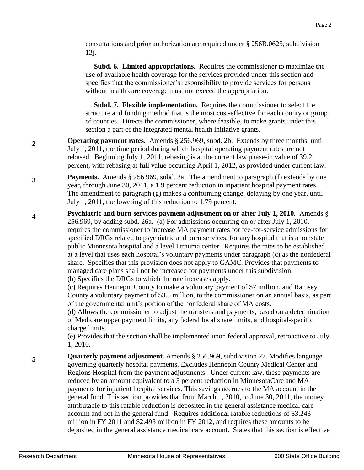consultations and prior authorization are required under § 256B.0625, subdivision 13j.

 **Subd. 6. Limited appropriations.** Requires the commissioner to maximize the use of available health coverage for the services provided under this section and specifies that the commissioner's responsibility to provide services for persons without health care coverage must not exceed the appropriation.

 **Subd. 7. Flexible implementation.** Requires the commissioner to select the structure and funding method that is the most cost-effective for each county or group of counties. Directs the commissioner, where feasible, to make grants under this section a part of the integrated mental health initiative grants.

- **2 Operating payment rates.** Amends § 256.969, subd. 2b. Extends by three months, until July 1, 2011, the time period during which hospital operating payment rates are not rebased. Beginning July 1, 2011, rebasing is at the current law phase-in value of 39.2 percent, with rebasing at full value occurring April 1, 2012, as provided under current law.
- **3 Payments.** Amends § 256.969, subd. 3a. The amendment to paragraph (f) extends by one year, through June 30, 2011, a 1.9 percent reduction in inpatient hospital payment rates. The amendment to paragraph (g) makes a conforming change, delaying by one year, until July 1, 2011, the lowering of this reduction to 1.79 percent.
- **4 Psychiatric and burn services payment adjustment on or after July 1, 2010.** Amends § 256.969, by adding subd. 26a. (a) For admissions occurring on or after July 1, 2010, requires the commissioner to increase MA payment rates for fee-for-service admissions for specified DRGs related to psychiatric and burn services, for any hospital that is a nonstate public Minnesota hospital and a level I trauma center. Requires the rates to be established at a level that uses each hospital's voluntary payments under paragraph (c) as the nonfederal share. Specifies that this provision does not apply to GAMC. Provides that payments to managed care plans shall not be increased for payments under this subdivision. (b) Specifies the DRGs to which the rate increases apply.

(c) Requires Hennepin County to make a voluntary payment of \$7 million, and Ramsey County a voluntary payment of \$3.5 million, to the commissioner on an annual basis, as part of the governmental unit's portion of the nonfederal share of MA costs.

(d) Allows the commissioner to adjust the transfers and payments, based on a determination of Medicare upper payment limits, any federal local share limits, and hospital-specific charge limits.

(e) Provides that the section shall be implemented upon federal approval, retroactive to July 1, 2010.

**5 Quarterly payment adjustment.** Amends § 256.969, subdivision 27. Modifies language governing quarterly hospital payments. Excludes Hennepin County Medical Center and Regions Hospital from the payment adjustments. Under current law, these payments are reduced by an amount equivalent to a 3 percent reduction in MinnesotaCare and MA payments for inpatient hospital services. This savings accrues to the MA account in the general fund. This section provides that from March 1, 2010, to June 30, 2011, the money attributable to this ratable reduction is deposited in the general assistance medical care account and not in the general fund. Requires additional ratable reductions of \$3.243 million in FY 2011 and \$2.495 million in FY 2012, and requires these amounts to be deposited in the general assistance medical care account. States that this section is effective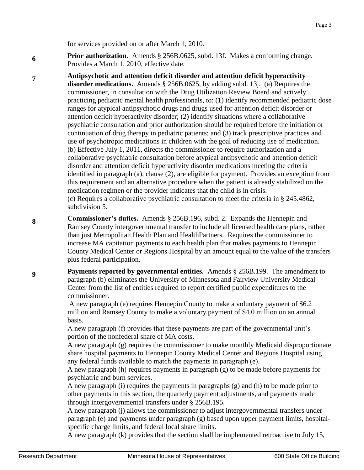for services provided on or after March 1, 2010.

**6 Prior authorization.** Amends § 256B.0625, subd. 13f. Makes a conforming change. Provides a March 1, 2010, effective date.

- **7 Antipsychotic and attention deficit disorder and attention deficit hyperactivity disorder medications.** Amends § 256B.0625, by adding subd. 13j. (a) Requires the commissioner, in consultation with the Drug Utilization Review Board and actively practicing pediatric mental health professionals, to: (1) identify recommended pediatric dose ranges for atypical antipsychotic drugs and drugs used for attention deficit disorder or attention deficit hyperactivity disorder; (2) identify situations where a collaborative psychiatric consultation and prior authorization should be required before the initiation or continuation of drug therapy in pediatric patients; and (3) track prescriptive practices and use of psychotropic medications in children with the goal of reducing use of medication. (b) Effective July 1, 2011, directs the commissioner to require authorization and a collaborative psychiatric consultation before atypical antipsychotic and attention deficit disorder and attention deficit hyperactivity disorder medications meeting the criteria identified in paragraph (a), clause (2), are eligible for payment. Provides an exception from this requirement and an alternative procedure when the patient is already stabilized on the medication regimen or the provider indicates that the child is in crisis. (c) Requires a collaborative psychiatric consultation to meet the criteria in § 245.4862, subdivision 5.
- **8 Commissioner's duties.** Amends § 256B.196, subd. 2. Expands the Hennepin and Ramsey County intergovernmental transfer to include all licensed health care plans, rather than just Metropolitan Health Plan and HealthPartners. Requires the commissioner to increase MA capitation payments to each health plan that makes payments to Hennepin County Medical Center or Regions Hospital by an amount equal to the value of the transfers plus federal participation.

**Payments reported by governmental entities.** Amends § 256B.199. The amendment to paragraph (b) eliminates the University of Minnesota and Fairview University Medical Center from the list of entities required to report certified public expenditures to the commissioner.

A new paragraph (e) requires Hennepin County to make a voluntary payment of \$6.2 million and Ramsey County to make a voluntary payment of \$4.0 million on an annual basis.

A new paragraph (f) provides that these payments are part of the governmental unit's portion of the nonfederal share of MA costs.

A new paragraph (g) requires the commissioner to make monthly Medicaid disproportionate share hospital payments to Hennepin County Medical Center and Regions Hospital using any federal funds available to match the payments in paragraph (e).

A new paragraph (h) requires payments in paragraph (g) to be made before payments for psychiatric and burn services.

A new paragraph (i) requires the payments in paragraphs (g) and (h) to be made prior to other payments in this section, the quarterly payment adjustments, and payments made through intergovernmental transfers under § 256B.195.

A new paragraph (j) allows the commissioner to adjust intergovernmental transfers under paragraph (e) and payments under paragraph (g) based upon upper payment limits, hospitalspecific charge limits, and federal local share limits.

A new paragraph (k) provides that the section shall be implemented retroactive to July 15,

**9**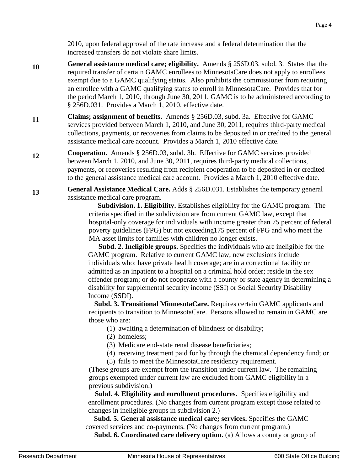2010, upon federal approval of the rate increase and a federal determination that the increased transfers do not violate share limits.

- **10 General assistance medical care; eligibility.** Amends § 256D.03, subd. 3. States that the required transfer of certain GAMC enrollees to MinnesotaCare does not apply to enrollees exempt due to a GAMC qualifying status. Also prohibits the commissioner from requiring an enrollee with a GAMC qualifying status to enroll in MinnesotaCare. Provides that for the period March 1, 2010, through June 30, 2011, GAMC is to be administered according to § 256D.031. Provides a March 1, 2010, effective date.
- **11 Claims; assignment of benefits.** Amends § 256D.03, subd. 3a. Effective for GAMC services provided between March 1, 2010, and June 30, 2011, requires third-party medical collections, payments, or recoveries from claims to be deposited in or credited to the general assistance medical care account. Provides a March 1, 2010 effective date.
- **12 Cooperation.** Amends § 256D.03, subd. 3b. Effective for GAMC services provided between March 1, 2010, and June 30, 2011, requires third-party medical collections, payments, or recoveries resulting from recipient cooperation to be deposited in or credited to the general assistance medical care account. Provides a March 1, 2010 effective date.
- **13 General Assistance Medical Care.** Adds § 256D.031. Establishes the temporary general assistance medical care program.

 **Subdivision. 1. Eligibility.** Establishes eligibility for the GAMC program. The criteria specified in the subdivision are from current GAMC law, except that hospital-only coverage for individuals with income greater than 75 percent of federal poverty guidelines (FPG) but not exceeding175 percent of FPG and who meet the MA asset limits for families with children no longer exists.

 **Subd. 2. Ineligible groups.** Specifies the individuals who are ineligible for the GAMC program. Relative to current GAMC law, new exclusions include individuals who: have private health coverage; are in a correctional facility or admitted as an inpatient to a hospital on a criminal hold order; reside in the sex offender program; or do not cooperate with a county or state agency in determining a disability for supplemental security income (SSI) or Social Security Disability Income (SSDI).

 **Subd. 3. Transitional MinnesotaCare.** Requires certain GAMC applicants and recipients to transition to MinnesotaCare. Persons allowed to remain in GAMC are those who are:

- (1) awaiting a determination of blindness or disability;
- (2) homeless;
- (3) Medicare end-state renal disease beneficiaries;
- (4) receiving treatment paid for by through the chemical dependency fund; or
- (5) fails to meet the MinnesotaCare residency requirement.

(These groups are exempt from the transition under current law. The remaining groups exempted under current law are excluded from GAMC eligibility in a previous subdivision.)

 **Subd. 4. Eligibility and enrollment procedures.** Specifies eligibility and enrollment procedures. (No changes from current program except those related to changes in ineligible groups in subdivision 2.)

 **Subd. 5. General assistance medical care; services.** Specifies the GAMC covered services and co-payments. (No changes from current program.)

**Subd. 6. Coordinated care delivery option.** (a) Allows a county or group of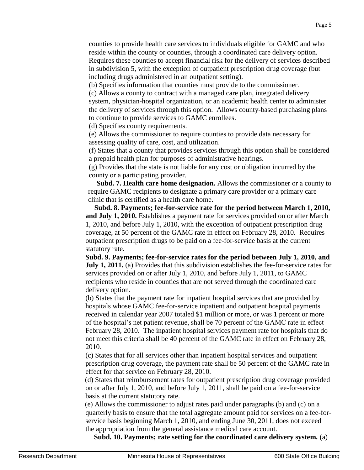counties to provide health care services to individuals eligible for GAMC and who reside within the county or counties, through a coordinated care delivery option. Requires these counties to accept financial risk for the delivery of services described in subdivision 5, with the exception of outpatient prescription drug coverage (but including drugs administered in an outpatient setting).

(b) Specifies information that counties must provide to the commissioner.

(c) Allows a county to contract with a managed care plan, integrated delivery system, physician-hospital organization, or an academic health center to administer the delivery of services through this option. Allows county-based purchasing plans to continue to provide services to GAMC enrollees.

(d) Specifies county requirements.

(e) Allows the commissioner to require counties to provide data necessary for assessing quality of care, cost, and utilization.

(f) States that a county that provides services through this option shall be considered a prepaid health plan for purposes of administrative hearings.

(g) Provides that the state is not liable for any cost or obligation incurred by the county or a participating provider.

 **Subd. 7. Health care home designation.** Allows the commissioner or a county to require GAMC recipients to designate a primary care provider or a primary care clinic that is certified as a health care home.

 **Subd. 8. Payments; fee-for-service rate for the period between March 1, 2010, and July 1, 2010.** Establishes a payment rate for services provided on or after March 1, 2010, and before July 1, 2010, with the exception of outpatient prescription drug coverage, at 50 percent of the GAMC rate in effect on February 28, 2010. Requires outpatient prescription drugs to be paid on a fee-for-service basis at the current statutory rate.

**Subd. 9. Payments; fee-for-service rates for the period between July 1, 2010, and July 1, 2011.** (a) Provides that this subdivision establishes the fee-for-service rates for services provided on or after July 1, 2010, and before July 1, 2011, to GAMC recipients who reside in counties that are not served through the coordinated care delivery option.

(b) States that the payment rate for inpatient hospital services that are provided by hospitals whose GAMC fee-for-service inpatient and outpatient hospital payments received in calendar year 2007 totaled \$1 million or more, or was 1 percent or more of the hospital's net patient revenue, shall be 70 percent of the GAMC rate in effect February 28, 2010. The inpatient hospital services payment rate for hospitals that do not meet this criteria shall be 40 percent of the GAMC rate in effect on February 28, 2010.

(c) States that for all services other than inpatient hospital services and outpatient prescription drug coverage, the payment rate shall be 50 percent of the GAMC rate in effect for that service on February 28, 2010.

(d) States that reimbursement rates for outpatient prescription drug coverage provided on or after July 1, 2010, and before July 1, 2011, shall be paid on a fee-for-service basis at the current statutory rate.

(e) Allows the commissioner to adjust rates paid under paragraphs (b) and (c) on a quarterly basis to ensure that the total aggregate amount paid for services on a fee-forservice basis beginning March 1, 2010, and ending June 30, 2011, does not exceed the appropriation from the general assistance medical care account.

**Subd. 10. Payments; rate setting for the coordinated care delivery system.** (a)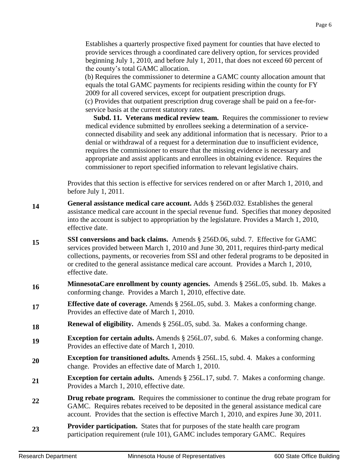Establishes a quarterly prospective fixed payment for counties that have elected to provide services through a coordinated care delivery option, for services provided beginning July 1, 2010, and before July 1, 2011, that does not exceed 60 percent of the county's total GAMC allocation.

(b) Requires the commissioner to determine a GAMC county allocation amount that equals the total GAMC payments for recipients residing within the county for FY 2009 for all covered services, except for outpatient prescription drugs. (c) Provides that outpatient prescription drug coverage shall be paid on a fee-forservice basis at the current statutory rates.

**Subd. 11. Veterans medical review team.** Requires the commissioner to review medical evidence submitted by enrollees seeking a determination of a serviceconnected disability and seek any additional information that is necessary. Prior to a denial or withdrawal of a request for a determination due to insufficient evidence, requires the commissioner to ensure that the missing evidence is necessary and appropriate and assist applicants and enrollees in obtaining evidence. Requires the commissioner to report specified information to relevant legislative chairs.

Provides that this section is effective for services rendered on or after March 1, 2010, and before July 1, 2011.

- **14 General assistance medical care account.** Adds § 256D.032. Establishes the general assistance medical care account in the special revenue fund. Specifies that money deposited into the account is subject to appropriation by the legislature. Provides a March 1, 2010, effective date.
- **15 SSI conversions and back claims.** Amends § 256D.06, subd. 7. Effective for GAMC services provided between March 1, 2010 and June 30, 2011, requires third-party medical collections, payments, or recoveries from SSI and other federal programs to be deposited in or credited to the general assistance medical care account. Provides a March 1, 2010, effective date.
- **16 MinnesotaCare enrollment by county agencies.** Amends § 256L.05, subd. 1b. Makes a conforming change. Provides a March 1, 2010, effective date.
- **17 Effective date of coverage.** Amends § 256L.05, subd. 3. Makes a conforming change. Provides an effective date of March 1, 2010.
- **18 Renewal of eligibility.** Amends § 256L.05, subd. 3a. Makes a conforming change.
- **19 Exception for certain adults.** Amends § 256L.07, subd. 6. Makes a conforming change. Provides an effective date of March 1, 2010.
- **20 Exception for transitioned adults.** Amends § 256L.15, subd. 4. Makes a conforming change. Provides an effective date of March 1, 2010.
- **21 Exception for certain adults.** Amends § 256L.17, subd. 7. Makes a conforming change. Provides a March 1, 2010, effective date.
- **22 Drug rebate program.** Requires the commissioner to continue the drug rebate program for GAMC. Requires rebates received to be deposited in the general assistance medical care account. Provides that the section is effective March 1, 2010, and expires June 30, 2011.
- **23 Provider participation.** States that for purposes of the state health care program participation requirement (rule 101), GAMC includes temporary GAMC. Requires